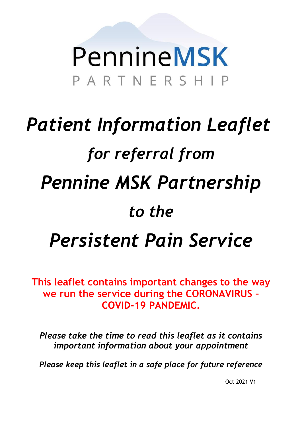# PennineMSK PARTNERSHIP

# *Patient Information Leaflet for referral from Pennine MSK Partnership to the Persistent Pain Service*

**This leaflet contains important changes to the way we run the service during the CORONAVIRUS – COVID-19 PANDEMIC.**

*Please take the time to read this leaflet as it contains important information about your appointment*

*Please keep this leaflet in a safe place for future reference*

Oct 2021 V1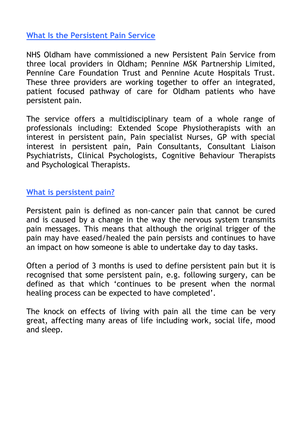# **What Is the Persistent Pain Service**

NHS Oldham have commissioned a new Persistent Pain Service from three local providers in Oldham; Pennine MSK Partnership Limited, Pennine Care Foundation Trust and Pennine Acute Hospitals Trust. These three providers are working together to offer an integrated, patient focused pathway of care for Oldham patients who have persistent pain.

The service offers a multidisciplinary team of a whole range of professionals including: Extended Scope Physiotherapists with an interest in persistent pain, Pain specialist Nurses, GP with special interest in persistent pain, Pain Consultants, Consultant Liaison Psychiatrists, Clinical Psychologists, Cognitive Behaviour Therapists and Psychological Therapists.

### **What is persistent pain?**

Persistent pain is defined as non-cancer pain that cannot be cured and is caused by a change in the way the nervous system transmits pain messages. This means that although the original trigger of the pain may have eased/healed the pain persists and continues to have an impact on how someone is able to undertake day to day tasks.

Often a period of 3 months is used to define persistent pain but it is recognised that some persistent pain, e.g. following surgery, can be defined as that which 'continues to be present when the normal healing process can be expected to have completed'.

The knock on effects of living with pain all the time can be very great, affecting many areas of life including work, social life, mood and sleep.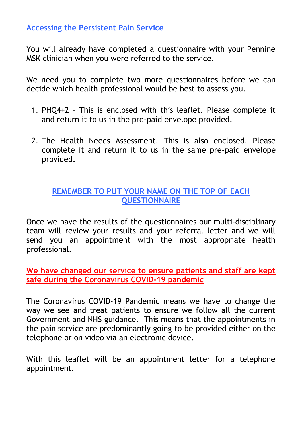**Accessing the Persistent Pain Service**

You will already have completed a questionnaire with your Pennine MSK clinician when you were referred to the service.

We need you to complete two more questionnaires before we can decide which health professional would be best to assess you.

- 1. PHQ4+2 This is enclosed with this leaflet. Please complete it and return it to us in the pre-paid envelope provided.
- 2. The Health Needs Assessment. This is also enclosed. Please complete it and return it to us in the same pre-paid envelope provided.

# **REMEMBER TO PUT YOUR NAME ON THE TOP OF EACH QUESTIONNAIRE**

Once we have the results of the questionnaires our multi-disciplinary team will review your results and your referral letter and we will send you an appointment with the most appropriate health professional.

**We have changed our service to ensure patients and staff are kept safe during the Coronavirus COVID-19 pandemic**

The Coronavirus COVID-19 Pandemic means we have to change the way we see and treat patients to ensure we follow all the current Government and NHS guidance. This means that the appointments in the pain service are predominantly going to be provided either on the telephone or on video via an electronic device.

With this leaflet will be an appointment letter for a telephone appointment.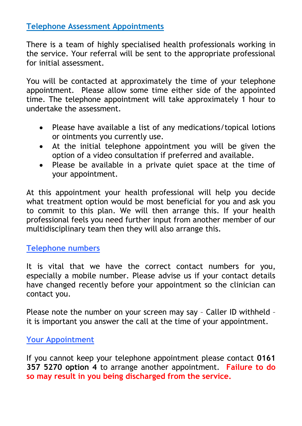# **Telephone Assessment Appointments**

There is a team of highly specialised health professionals working in the service. Your referral will be sent to the appropriate professional for initial assessment.

You will be contacted at approximately the time of your telephone appointment. Please allow some time either side of the appointed time. The telephone appointment will take approximately 1 hour to undertake the assessment.

- Please have available a list of any medications/topical lotions or ointments you currently use.
- At the initial telephone appointment you will be given the option of a video consultation if preferred and available.
- Please be available in a private quiet space at the time of your appointment.

At this appointment your health professional will help you decide what treatment option would be most beneficial for you and ask you to commit to this plan. We will then arrange this. If your health professional feels you need further input from another member of our multidisciplinary team then they will also arrange this.

# **Telephone numbers**

It is vital that we have the correct contact numbers for you, especially a mobile number. Please advise us if your contact details have changed recently before your appointment so the clinician can contact you.

Please note the number on your screen may say – Caller ID withheld – it is important you answer the call at the time of your appointment.

# **Your Appointment**

If you cannot keep your telephone appointment please contact **0161 357 5270 option 4** to arrange another appointment. **Failure to do so may result in you being discharged from the service.**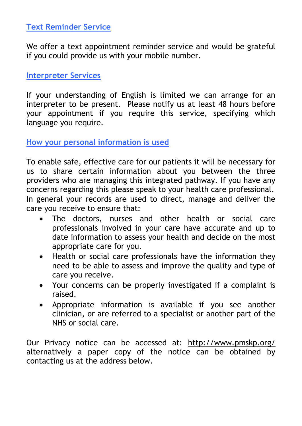# **Text Reminder Service**

We offer a text appointment reminder service and would be grateful if you could provide us with your mobile number.

### **Interpreter Services**

If your understanding of English is limited we can arrange for an interpreter to be present. Please notify us at least 48 hours before your appointment if you require this service, specifying which language you require.

**How your personal information is used**

To enable safe, effective care for our patients it will be necessary for us to share certain information about you between the three providers who are managing this integrated pathway. If you have any concerns regarding this please speak to your health care professional. In general your records are used to direct, manage and deliver the care you receive to ensure that:

- The doctors, nurses and other health or social care professionals involved in your care have accurate and up to date information to assess your health and decide on the most appropriate care for you.
- Health or social care professionals have the information they need to be able to assess and improve the quality and type of care you receive.
- Your concerns can be properly investigated if a complaint is raised.
- Appropriate information is available if you see another clinician, or are referred to a specialist or another part of the NHS or social care.

Our Privacy notice can be accessed at: <http://www.pmskp.org/> alternatively a paper copy of the notice can be obtained by contacting us at the address below.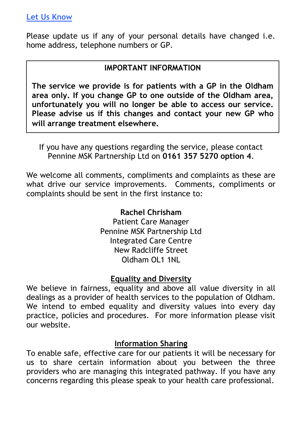## **Let Us Know**

Please update us if any of your personal details have changed i.e. home address, telephone numbers or GP.

# **IMPORTANT INFORMATION**

*Please keep this leaflet in a safe place for future reference* **will arrange treatment elsewhere.The service we provide is for patients with a GP in the Oldham area only. If you change GP to one outside of the Oldham area, unfortunately you will no longer be able to access our service. Please advise us if this changes and contact your new GP who** 

If you have any questions regarding the service, please contact Pennine MSK Partnership Ltd on **0161 357 5270 option 4**.

We welcome all comments, compliments and complaints as these are what drive our service improvements. Comments, compliments or complaints should be sent in the first instance to:

#### **Rachel Chrisham**

Patient Care Manager Pennine MSK Partnership Ltd Integrated Care Centre New Radcliffe Street Oldham OL1 1NL

### **Equality and Diversity**

We believe in fairness, equality and above all value diversity in all dealings as a provider of health services to the population of Oldham. We intend to embed equality and diversity values into every day practice, policies and procedures. For more information please visit our website.

### **Information Sharing**

To enable safe, effective care for our patients it will be necessary for us to share certain information about you between the three providers who are managing this integrated pathway. If you have any concerns regarding this please speak to your health care professional.